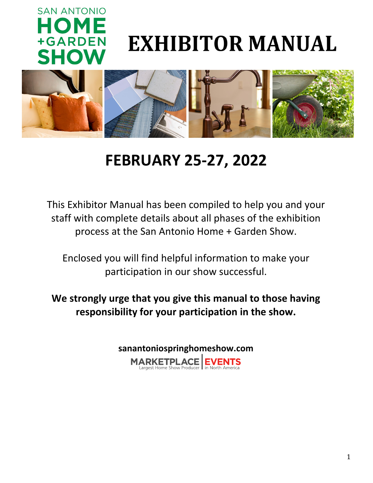

# **EXHIBITOR MANUAL**



# **FEBRUARY 25-27, 2022**

This Exhibitor Manual has been compiled to help you and your staff with complete details about all phases of the exhibition process at the San Antonio Home + Garden Show.

Enclosed you will find helpful information to make your participation in our show successful.

**We strongly urge that you give this manual to those having responsibility for your participation in the show.**

> **sanantoniospringhomeshow.comMARKETPLACE**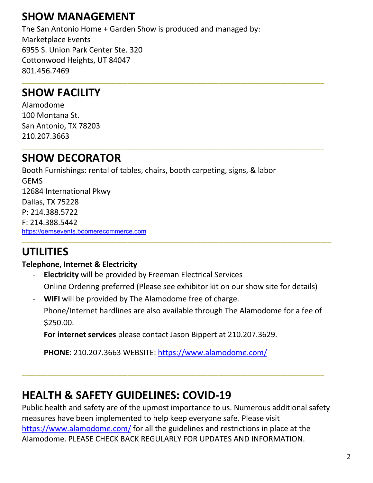# **SHOW MANAGEMENT**

The San Antonio Home + Garden Show is produced and managed by: Marketplace Events 6955 S. Union Park Center Ste. 320 Cottonwood Heights, UT 84047 801.456.7469

**\_\_\_\_\_\_\_\_\_\_\_\_\_\_\_\_\_\_\_\_\_\_\_\_\_\_\_\_\_\_\_\_\_\_\_\_\_\_\_\_\_\_\_\_\_\_\_\_\_\_\_\_\_\_\_\_\_\_\_\_\_\_\_\_\_\_\_\_\_\_\_\_\_\_\_\_\_\_\_\_\_\_\_**

**\_\_\_\_\_\_\_\_\_\_\_\_\_\_\_\_\_\_\_\_\_\_\_\_\_\_\_\_\_\_\_\_\_\_\_\_\_\_\_\_\_\_\_\_\_\_\_\_\_\_\_\_\_\_\_\_\_\_\_\_\_\_\_\_\_\_\_\_\_\_\_\_\_\_\_\_\_\_\_\_\_\_\_**

### **SHOW FACILITY**

Alamodome 100 Montana St. San Antonio, TX 78203 210.207.3663

### **SHOW DECORATOR**

Booth Furnishings: rental of tables, chairs, booth carpeting, signs, & labor GEMS 12684 International Pkwy Dallas, TX 75228 P: 214.388.5722 F: 214.388.5442 [https://gemsevents.boomerecommerce.com](https://can01.safelinks.protection.outlook.com/?url=https%3A%2F%2Fu21041892.ct.sendgrid.net%2Fls%2Fclick%3Fupn%3DE0s88rpDYVaw96KnzEzxkLLXqe99iOUn7PQ16rRCl-2FZWsEW-2FUToZozt0as9P9y3GghQe_bILmaZ35Qi0ie-2BJonTWJ98PgLSBRO7VVEqVOg5Dkot4O2K2rkDPIc10XquqUJNdU-2F4OmC9Vp4a9Gzwu4-2FXavlCbrRaHZFewMJYKHPSBNSbK5JLKmvuS0iksk2p0v3PpagefkzI6dTs7OMn2GbpYdX-2BGxtJU1ikPEnZ-2FfcFXdG-2Fduyj9xe3dVYnJ04n-2BoO3fZoEzHd8iZgvXN4Ept85xKPA-3D-3D&data=04%7C01%7CSherriH%40mpeshows.com%7Ccdd7294b9c524eacf62908d9487c900a%7Cf3342ad82a6644d9ba051598dfce0752%7C0%7C0%7C637620522090301077%7CUnknown%7CTWFpbGZsb3d8eyJWIjoiMC4wLjAwMDAiLCJQIjoiV2luMzIiLCJBTiI6Ik1haWwiLCJXVCI6Mn0%3D%7C1000&sdata=9kjiWKOWCb1mlpKcGZ31w0RdWaB2M47CAzsjBDX69RU%3D&reserved=0) **\_\_\_\_\_\_\_\_\_\_\_\_\_\_\_\_\_\_\_\_\_\_\_\_\_\_\_\_\_\_\_\_\_\_\_\_\_\_\_\_\_\_\_\_\_\_\_\_\_\_\_\_\_\_\_\_\_\_\_\_\_\_\_\_\_\_\_\_\_\_\_\_\_\_\_\_\_\_\_\_\_\_\_\_\_**

# **UTILITIES**

### **Telephone, Internet & Electricity**

- **Electricity** will be provided by Freeman Electrical Services Online Ordering preferred (Please see exhibitor kit on our show site for details)
- **WIFI** will be provided by The Alamodome free of charge.

Phone/Internet hardlines are also available through The Alamodome for a fee of \$250.00.

**For internet services** please contact Jason Bippert at 210.207.3629.

**PHONE**: 210.207.3663 WEBSITE:<https://www.alamodome.com/>

# **HEALTH & SAFETY GUIDELINES: COVID-19**

Public health and safety are of the upmost importance to us. Numerous additional safety measures have been implemented to help keep everyone safe. Please visit <https://www.alamodome.com/> for all the guidelines and restrictions in place at the Alamodome. PLEASE CHECK BACK REGULARLY FOR UPDATES AND INFORMATION.

**\_\_\_\_\_\_\_\_\_\_\_\_\_\_\_\_\_\_\_\_\_\_\_\_\_\_\_\_\_\_\_\_\_\_\_\_\_\_\_\_\_\_\_\_\_\_\_\_\_\_\_\_\_\_\_\_\_\_\_\_\_\_\_\_\_\_\_\_\_\_\_\_\_\_\_\_\_\_\_\_\_\_\_**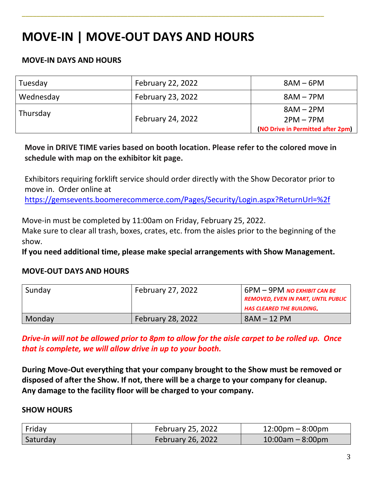# **MOVE-IN | MOVE-OUT DAYS AND HOURS**

### **MOVE-IN DAYS AND HOURS**

| Tuesday   | <b>February 22, 2022</b> | $8AM - 6PM$                       |
|-----------|--------------------------|-----------------------------------|
| Wednesday | <b>February 23, 2022</b> | $8AM - 7PM$                       |
| Thursday  | <b>February 24, 2022</b> | $8AM - 2PM$                       |
|           |                          | $2PM - 7PM$                       |
|           |                          | (NO Drive in Permitted after 2pm) |

**\_\_\_\_\_\_\_\_\_\_\_\_\_\_\_\_\_\_\_\_\_\_\_\_\_\_\_\_\_\_\_\_\_\_\_\_\_\_\_\_\_\_\_\_\_\_\_\_\_\_\_\_\_\_\_\_\_\_\_\_\_\_\_\_\_\_\_\_\_\_\_\_\_\_\_\_\_\_\_\_\_\_\_**

**Move in DRIVE TIME varies based on booth location. Please refer to the colored move in schedule with map on the exhibitor kit page.**

Exhibitors requiring forklift service should order directly with the Show Decorator prior to move in. Order online at

<https://gemsevents.boomerecommerce.com/Pages/Security/Login.aspx?ReturnUrl=%2f>

Move-in must be completed by 11:00am on Friday, February 25, 2022.

Make sure to clear all trash, boxes, crates, etc. from the aisles prior to the beginning of the show.

**If you need additional time, please make special arrangements with Show Management.**

#### **MOVE-OUT DAYS AND HOURS**

| Sunday        | <b>February 27, 2022</b> | $6PM - 9PM$ NO ехнівіт сам ве<br><b>REMOVED, EVEN IN PART, UNTIL PUBLIC</b><br><b>HAS CLEARED THE BUILDING.</b> |
|---------------|--------------------------|-----------------------------------------------------------------------------------------------------------------|
| <b>Monday</b> | <b>February 28, 2022</b> | $8AM - 12 PM$                                                                                                   |

*Drive-in will not be allowed prior to 8pm to allow for the aisle carpet to be rolled up. Once that is complete, we will allow drive in up to your booth.* 

**During Move-Out everything that your company brought to the Show must be removed or disposed of after the Show. If not, there will be a charge to your company for cleanup. Any damage to the facility floor will be charged to your company.** 

#### **SHOW HOURS**

| Friday   | February 25, 2022        | $12:00 \text{pm} - 8:00 \text{pm}$ |
|----------|--------------------------|------------------------------------|
| Saturday | <b>February 26, 2022</b> | $10:00$ am – 8:00pm                |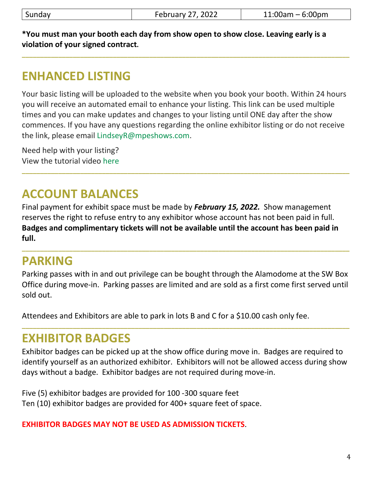**\_\_\_\_\_\_\_\_\_\_\_\_\_\_\_\_\_\_\_\_\_\_\_\_\_\_\_\_\_\_\_\_\_\_\_\_\_\_\_\_\_\_\_\_\_\_\_\_\_\_\_\_\_\_\_\_\_\_\_\_\_\_\_\_\_\_\_\_\_\_\_\_\_\_\_\_\_\_\_\_\_\_\_\_\_\_\_\_\_\_**

**\*You must man your booth each day from show open to show close. Leaving early is a violation of your signed contract.**

# **ENHANCED LISTING**

Your basic listing will be uploaded to the website when you book your booth. Within 24 hours you will receive an automated email to enhance your listing. This link can be used multiple times and you can make updates and changes to your listing until ONE day after the show commences. If you have any questions regarding the online exhibitor listing or do not receive the link, please email [LindseyR@mpeshows.com.](mailto:LindseyR@mpeshows.com)

**\_\_\_\_\_\_\_\_\_\_\_\_\_\_\_\_\_\_\_\_\_\_\_\_\_\_\_\_\_\_\_\_\_\_\_\_\_\_\_\_\_\_\_\_\_\_\_\_\_\_\_\_\_\_\_\_\_\_\_\_\_\_\_\_\_\_\_\_\_\_\_\_\_\_\_\_\_\_\_\_\_\_\_\_\_\_\_\_\_\_**

Need help with your listing? View the tutorial video [here](https://www.youtube.com/watch?v=ecSxq1oKuYg)

# **ACCOUNT BALANCES**

Final payment for exhibit space must be made by *February 15, 2022.* Show management reserves the right to refuse entry to any exhibitor whose account has not been paid in full. **Badges and complimentary tickets will not be available until the account has been paid in full.**

# **PARKING**

Parking passes with in and out privilege can be bought through the Alamodome at the SW Box Office during move-in. Parking passes are limited and are sold as a first come first served until sold out.

**\_\_\_\_\_\_\_\_\_\_\_\_\_\_\_\_\_\_\_\_\_\_\_\_\_\_\_\_\_\_\_\_\_\_\_\_\_\_\_\_\_\_\_\_\_\_\_\_\_\_\_\_\_\_\_\_\_\_\_\_\_\_\_\_\_\_\_\_\_\_\_\_\_\_\_\_\_\_\_\_\_\_\_\_\_\_\_\_\_\_**

Attendees and Exhibitors are able to park in lots B and C for a \$10.00 cash only fee.

### **EXHIBITOR BADGES**

Exhibitor badges can be picked up at the show office during move in. Badges are required to identify yourself as an authorized exhibitor. Exhibitors will not be allowed access during show days without a badge. Exhibitor badges are not required during move-in.

**\_\_\_\_\_\_\_\_\_\_\_\_\_\_\_\_\_\_\_\_\_\_\_\_\_\_\_\_\_\_\_\_\_\_\_\_\_\_\_\_\_\_\_\_\_\_\_\_\_\_\_\_\_\_\_\_\_\_\_\_\_\_\_\_\_\_\_\_\_\_\_\_\_\_\_\_\_\_\_\_\_\_\_\_\_\_\_\_\_\_**

Five (5) exhibitor badges are provided for 100 -300 square feet Ten (10) exhibitor badges are provided for 400+ square feet of space.

**EXHIBITOR BADGES MAY NOT BE USED AS ADMISSION TICKETS**.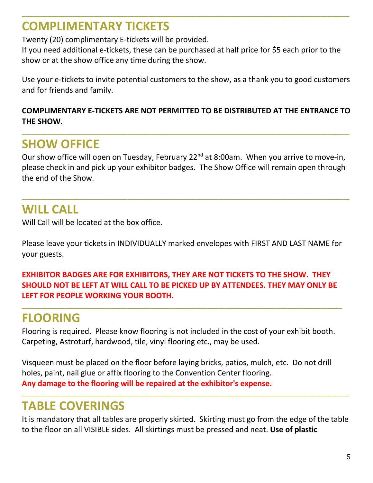# **COMPLIMENTARY TICKETS**

Twenty (20) complimentary E-tickets will be provided.

If you need additional e-tickets, these can be purchased at half price for \$5 each prior to the show or at the show office any time during the show.

**\_\_\_\_\_\_\_\_\_\_\_\_\_\_\_\_\_\_\_\_\_\_\_\_\_\_\_\_\_\_\_\_\_\_\_\_\_\_\_\_\_\_\_\_\_\_\_\_\_\_\_\_\_\_\_\_\_\_\_\_\_\_\_\_\_\_\_\_\_\_\_\_\_\_\_\_\_\_\_\_\_\_\_\_\_\_\_\_\_\_**

Use your e-tickets to invite potential customers to the show, as a thank you to good customers and for friends and family.

### **COMPLIMENTARY E-TICKETS ARE NOT PERMITTED TO BE DISTRIBUTED AT THE ENTRANCE TO THE SHOW**.

**\_\_\_\_\_\_\_\_\_\_\_\_\_\_\_\_\_\_\_\_\_\_\_\_\_\_\_\_\_\_\_\_\_\_\_\_\_\_\_\_\_\_\_\_\_\_\_\_\_\_\_\_\_\_\_\_\_\_\_\_\_\_\_\_\_\_\_\_\_\_\_\_\_\_\_\_\_\_\_\_\_\_\_\_\_\_\_\_\_\_**

# **SHOW OFFICE**

Our show office will open on Tuesday, February 22<sup>nd</sup> at 8:00am. When you arrive to move-in, please check in and pick up your exhibitor badges. The Show Office will remain open through the end of the Show.

**\_\_\_\_\_\_\_\_\_\_\_\_\_\_\_\_\_\_\_\_\_\_\_\_\_\_\_\_\_\_\_\_\_\_\_\_\_\_\_\_\_\_\_\_\_\_\_\_\_\_\_\_\_\_\_\_\_\_\_\_\_\_\_\_\_\_\_\_\_\_\_\_\_\_\_\_\_\_\_\_\_\_\_\_\_\_\_\_\_\_**

# **WILL CALL**

Will Call will be located at the box office.

Please leave your tickets in INDIVIDUALLY marked envelopes with FIRST AND LAST NAME for your guests.

### **EXHIBITOR BADGES ARE FOR EXHIBITORS, THEY ARE NOT TICKETS TO THE SHOW. THEY SHOULD NOT BE LEFT AT WILL CALL TO BE PICKED UP BY ATTENDEES. THEY MAY ONLY BE LEFT FOR PEOPLE WORKING YOUR BOOTH.**

**\_\_\_\_\_\_\_\_\_\_\_\_\_\_\_\_\_\_\_\_\_\_\_\_\_\_\_\_\_\_\_\_\_\_\_\_\_\_\_\_\_\_\_\_\_\_\_\_\_\_\_\_\_\_\_\_\_\_\_\_\_\_\_\_\_\_\_\_\_\_\_\_\_\_\_\_\_\_\_\_\_\_\_\_\_\_\_\_**

# **FLOORING**

Flooring is required. Please know flooring is not included in the cost of your exhibit booth. Carpeting, Astroturf, hardwood, tile, vinyl flooring etc., may be used.

Visqueen must be placed on the floor before laying bricks, patios, mulch, etc. Do not drill holes, paint, nail glue or affix flooring to the Convention Center flooring. **Any damage to the flooring will be repaired at the exhibitor's expense.**

# **TABLE COVERINGS**

It is mandatory that all tables are properly skirted. Skirting must go from the edge of the table to the floor on all VISIBLE sides. All skirtings must be pressed and neat. **Use of plastic** 

**\_\_\_\_\_\_\_\_\_\_\_\_\_\_\_\_\_\_\_\_\_\_\_\_\_\_\_\_\_\_\_\_\_\_\_\_\_\_\_\_\_\_\_\_\_\_\_\_\_\_\_\_\_\_\_\_\_\_\_\_\_\_\_\_\_\_\_\_\_\_\_\_\_\_\_\_\_\_\_\_\_\_\_\_\_\_\_\_\_\_**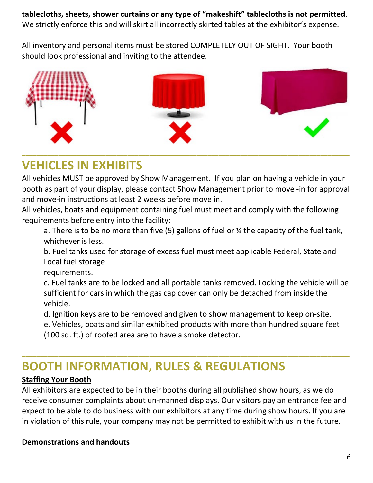**tablecloths, sheets, shower curtains or any type of "makeshift" tablecloths is not permitted**. We strictly enforce this and will skirt all incorrectly skirted tables at the exhibitor's expense.

All inventory and personal items must be stored COMPLETELY OUT OF SIGHT. Your booth should look professional and inviting to the attendee.



# **VEHICLES IN EXHIBITS**

All vehicles MUST be approved by Show Management. If you plan on having a vehicle in your booth as part of your display, please contact Show Management prior to move -in for approval and move-in instructions at least 2 weeks before move in.

All vehicles, boats and equipment containing fuel must meet and comply with the following requirements before entry into the facility:

a. There is to be no more than five (5) gallons of fuel or ¼ the capacity of the fuel tank, whichever is less.

b. Fuel tanks used for storage of excess fuel must meet applicable Federal, State and Local fuel storage

requirements.

c. Fuel tanks are to be locked and all portable tanks removed. Locking the vehicle will be sufficient for cars in which the gas cap cover can only be detached from inside the vehicle.

d. Ignition keys are to be removed and given to show management to keep on-site.

**\_\_\_\_\_\_\_\_\_\_\_\_\_\_\_\_\_\_\_\_\_\_\_\_\_\_\_\_\_\_\_\_\_\_\_\_\_\_\_\_\_\_\_\_\_\_\_\_\_\_\_\_\_\_\_\_\_\_\_\_\_\_\_\_\_\_\_\_\_\_\_\_\_\_\_\_\_\_\_\_\_\_\_\_\_\_\_\_\_\_**

e. Vehicles, boats and similar exhibited products with more than hundred square feet (100 sq. ft.) of roofed area are to have a smoke detector.

# **BOOTH INFORMATION, RULES & REGULATIONS**

### **Staffing Your Booth**

All exhibitors are expected to be in their booths during all published show hours, as we do receive consumer complaints about un-manned displays. Our visitors pay an entrance fee and expect to be able to do business with our exhibitors at any time during show hours. If you are in violation of this rule, your company may not be permitted to exhibit with us in the future.

### **Demonstrations and handouts**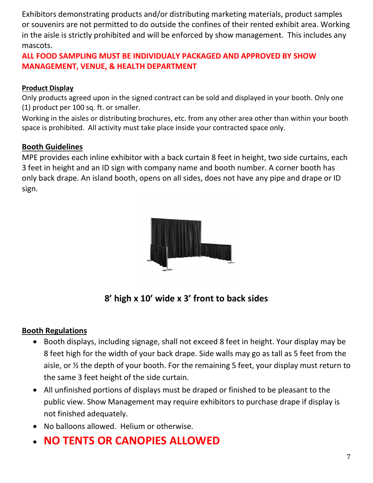Exhibitors demonstrating products and/or distributing marketing materials, product samples or souvenirs are not permitted to do outside the confines of their rented exhibit area. Working in the aisle is strictly prohibited and will be enforced by show management. This includes any mascots.

### **ALL FOOD SAMPLING MUST BE INDIVIDUALY PACKAGED AND APPROVED BY SHOW MANAGEMENT, VENUE, & HEALTH DEPARTMENT**

#### **Product Display**

Only products agreed upon in the signed contract can be sold and displayed in your booth. Only one (1) product per 100 sq. ft. or smaller.

Working in the aisles or distributing brochures, etc. from any other area other than within your booth space is prohibited. All activity must take place inside your contracted space only.

#### **Booth Guidelines**

MPE provides each inline exhibitor with a back curtain 8 feet in height, two side curtains, each 3 feet in height and an ID sign with company name and booth number. A corner booth has only back drape. An island booth, opens on all sides, does not have any pipe and drape or ID sign.



**8' high x 10' wide x 3' front to back sides**

### **Booth Regulations**

- Booth displays, including signage, shall not exceed 8 feet in height. Your display may be 8 feet high for the width of your back drape. Side walls may go as tall as 5 feet from the aisle, or ½ the depth of your booth. For the remaining 5 feet, your display must return to the same 3 feet height of the side curtain.
- All unfinished portions of displays must be draped or finished to be pleasant to the public view. Show Management may require exhibitors to purchase drape if display is not finished adequately.
- No balloons allowed. Helium or otherwise.
- **NO TENTS OR CANOPIES ALLOWED**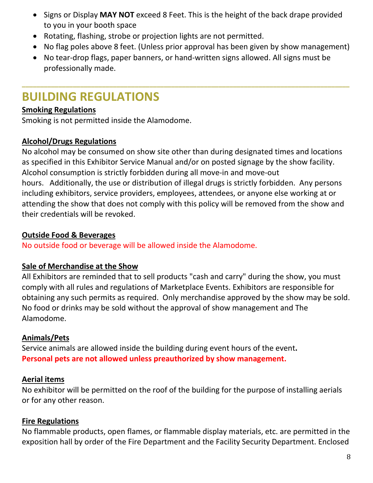- Signs or Display **MAY NOT** exceed 8 Feet. This is the height of the back drape provided to you in your booth space
- Rotating, flashing, strobe or projection lights are not permitted.
- No flag poles above 8 feet. (Unless prior approval has been given by show management)
- No tear-drop flags, paper banners, or hand-written signs allowed. All signs must be professionally made.

**\_\_\_\_\_\_\_\_\_\_\_\_\_\_\_\_\_\_\_\_\_\_\_\_\_\_\_\_\_\_\_\_\_\_\_\_\_\_\_\_\_\_\_\_\_\_\_\_\_\_\_\_\_\_\_\_\_\_\_\_\_\_\_\_\_\_\_\_\_\_\_\_\_\_\_\_\_\_\_\_\_\_\_\_\_\_\_\_\_\_**

# **BUILDING REGULATIONS**

### **Smoking Regulations**

Smoking is not permitted inside the Alamodome.

### **Alcohol/Drugs Regulations**

No alcohol may be consumed on show site other than during designated times and locations as specified in this Exhibitor Service Manual and/or on posted signage by the show facility. Alcohol consumption is strictly forbidden during all move-in and move-out hours. Additionally, the use or distribution of illegal drugs is strictly forbidden. Any persons including exhibitors, service providers, employees, attendees, or anyone else working at or attending the show that does not comply with this policy will be removed from the show and their credentials will be revoked.

### **Outside Food & Beverages**

No outside food or beverage will be allowed inside the Alamodome.

### **Sale of Merchandise at the Show**

All Exhibitors are reminded that to sell products "cash and carry" during the show, you must comply with all rules and regulations of Marketplace Events. Exhibitors are responsible for obtaining any such permits as required. Only merchandise approved by the show may be sold. No food or drinks may be sold without the approval of show management and The Alamodome.

### **Animals/Pets**

Service animals are allowed inside the building during event hours of the event**. Personal pets are not allowed unless preauthorized by show management.**

### **Aerial items**

No exhibitor will be permitted on the roof of the building for the purpose of installing aerials or for any other reason.

### **Fire Regulations**

No flammable products, open flames, or flammable display materials, etc. are permitted in the exposition hall by order of the Fire Department and the Facility Security Department. Enclosed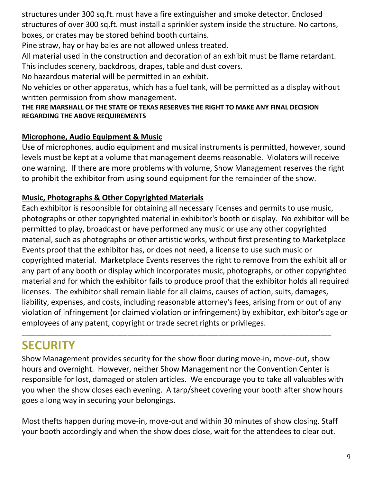structures under 300 sq.ft. must have a fire extinguisher and smoke detector. Enclosed structures of over 300 sq.ft. must install a sprinkler system inside the structure. No cartons, boxes, or crates may be stored behind booth curtains.

Pine straw, hay or hay bales are not allowed unless treated.

All material used in the construction and decoration of an exhibit must be flame retardant. This includes scenery, backdrops, drapes, table and dust covers.

No hazardous material will be permitted in an exhibit.

No vehicles or other apparatus, which has a fuel tank, will be permitted as a display without written permission from show management.

#### **THE FIRE MARSHALL OF THE STATE OF TEXAS RESERVES THE RIGHT TO MAKE ANY FINAL DECISION REGARDING THE ABOVE REQUIREMENTS**

### **Microphone, Audio Equipment & Music**

Use of microphones, audio equipment and musical instruments is permitted, however, sound levels must be kept at a volume that management deems reasonable. Violators will receive one warning. If there are more problems with volume, Show Management reserves the right to prohibit the exhibitor from using sound equipment for the remainder of the show.

### **Music, Photographs & Other Copyrighted Materials**

Each exhibitor is responsible for obtaining all necessary licenses and permits to use music, photographs or other copyrighted material in exhibitor's booth or display. No exhibitor will be permitted to play, broadcast or have performed any music or use any other copyrighted material, such as photographs or other artistic works, without first presenting to Marketplace Events proof that the exhibitor has, or does not need, a license to use such music or copyrighted material. Marketplace Events reserves the right to remove from the exhibit all or any part of any booth or display which incorporates music, photographs, or other copyrighted material and for which the exhibitor fails to produce proof that the exhibitor holds all required licenses. The exhibitor shall remain liable for all claims, causes of action, suits, damages, liability, expenses, and costs, including reasonable attorney's fees, arising from or out of any violation of infringement (or claimed violation or infringement) by exhibitor, exhibitor's age or employees of any patent, copyright or trade secret rights or privileges.

# **SECURITY**

Show Management provides security for the show floor during move-in, move-out, show hours and overnight. However, neither Show Management nor the Convention Center is responsible for lost, damaged or stolen articles. We encourage you to take all valuables with you when the show closes each evening. A tarp/sheet covering your booth after show hours goes a long way in securing your belongings.

**\_\_\_\_\_\_\_\_\_\_\_\_\_\_\_\_\_\_\_\_\_\_\_\_\_\_\_\_\_\_\_\_\_\_\_\_\_\_\_\_\_\_\_\_\_\_\_\_\_\_\_\_\_\_\_\_\_\_\_\_\_\_\_\_\_\_\_\_\_\_\_\_\_\_\_\_\_\_\_\_\_\_\_\_\_**

Most thefts happen during move-in, move-out and within 30 minutes of show closing. Staff your booth accordingly and when the show does close, wait for the attendees to clear out.